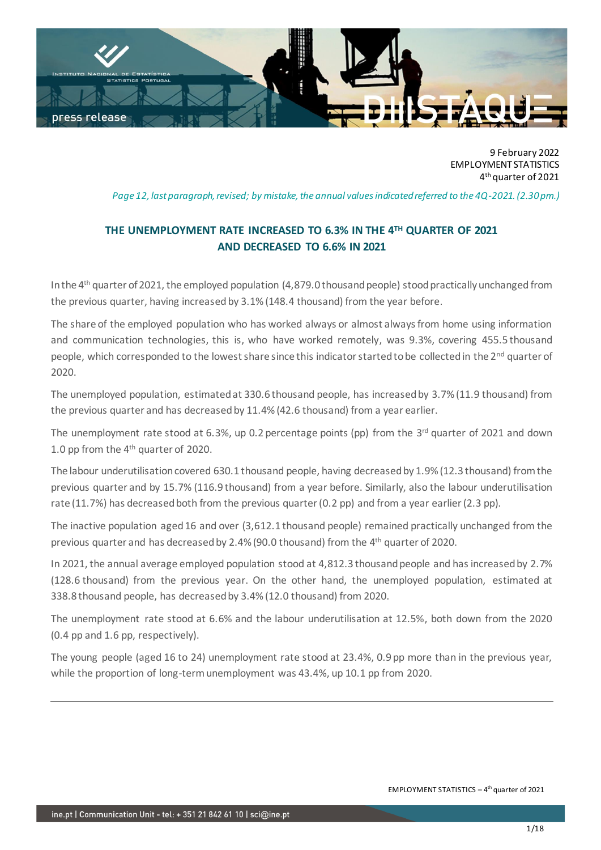

9 February 2022 EMPLOYMENT STATISTICS 4 th quarter of 2021

*Page 12, last paragraph, revised; by mistake, the annual values indicated referred to the 4Q-2021.(2.30pm.)*

# **THE UNEMPLOYMENT RATE INCREASED TO 6.3% IN THE 4TH QUARTER OF 2021 AND DECREASED TO 6.6% IN 2021**

In the 4th quarter of 2021, the employed population (4,879.0 thousand people) stood practically unchanged from the previous quarter, having increased by 3.1% (148.4 thousand) from the year before.

The share of the employed population who has worked always or almost always from home using information and communication technologies, this is, who have worked remotely, was 9.3%, covering 455.5 thousand people, which corresponded to the lowest share since this indicator started to be collected in the  $2^{nd}$  quarter of 2020.

The unemployed population, estimated at 330.6 thousand people, has increased by 3.7% (11.9 thousand) from the previous quarter and has decreased by 11.4% (42.6 thousand) from a year earlier.

The unemployment rate stood at 6.3%, up 0.2 percentage points (pp) from the 3<sup>rd</sup> quarter of 2021 and down 1.0 pp from the 4th quarter of 2020.

The labour underutilisation covered 630.1 thousand people, having decreased by 1.9% (12.3 thousand) from the previous quarter and by 15.7% (116.9 thousand) from a year before. Similarly, also the labour underutilisation rate (11.7%) has decreased both from the previous quarter (0.2 pp) and from a year earlier (2.3 pp).

The inactive population aged 16 and over (3,612.1 thousand people) remained practically unchanged from the previous quarter and has decreased by 2.4% (90.0 thousand) from the 4<sup>th</sup> quarter of 2020.

In 2021, the annual average employed population stood at 4,812.3 thousand people and has increased by 2.7% (128.6 thousand) from the previous year. On the other hand, the unemployed population, estimated at 338.8 thousand people, has decreased by 3.4% (12.0 thousand) from 2020.

The unemployment rate stood at 6.6% and the labour underutilisation at 12.5%, both down from the 2020 (0.4 pp and 1.6 pp, respectively).

The young people (aged 16 to 24) unemployment rate stood at 23.4%, 0.9 pp more than in the previous year, while the proportion of long-term unemployment was 43.4%, up 10.1 pp from 2020.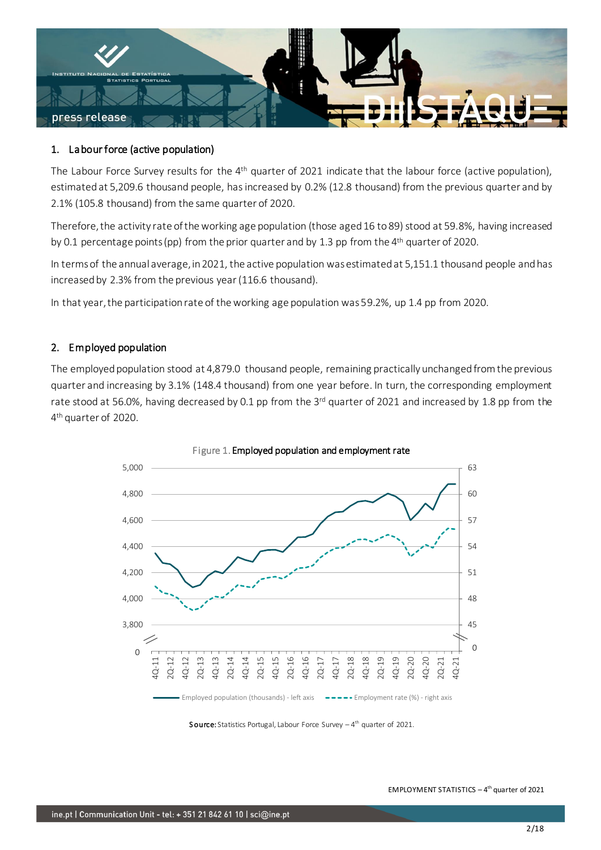

## 1. Labour force (active population)

The Labour Force Survey results for the 4<sup>th</sup> quarter of 2021 indicate that the labour force (active population), estimated at 5,209.6 thousand people, has increased by 0.2% (12.8 thousand) from the previous quarter and by 2.1% (105.8 thousand) from the same quarter of 2020.

Therefore, the activity rate of the working age population (those aged 16 to 89) stood at 59.8%, having increased by 0.1 percentage points (pp) from the prior quarter and by 1.3 pp from the 4<sup>th</sup> quarter of 2020.

In terms of the annual average, in 2021, the active population was estimated at 5,151.1 thousand people and has increased by 2.3% from the previous year (116.6 thousand).

In that year, the participation rate of the working age population was 59.2%, up 1.4 pp from 2020.

## 2. Employed population

The employed population stood at 4,879.0 thousand people, remaining practically unchanged from the previous quarter and increasing by 3.1% (148.4 thousand) from one year before. In turn, the corresponding employment rate stood at 56.0%, having decreased by 0.1 pp from the 3<sup>rd</sup> quarter of 2021 and increased by 1.8 pp from the 4 th quarter of 2020.



Figure 1. Employed population and employment rate

Source: Statistics Portugal, Labour Force Survey - 4<sup>th</sup> quarter of 2021.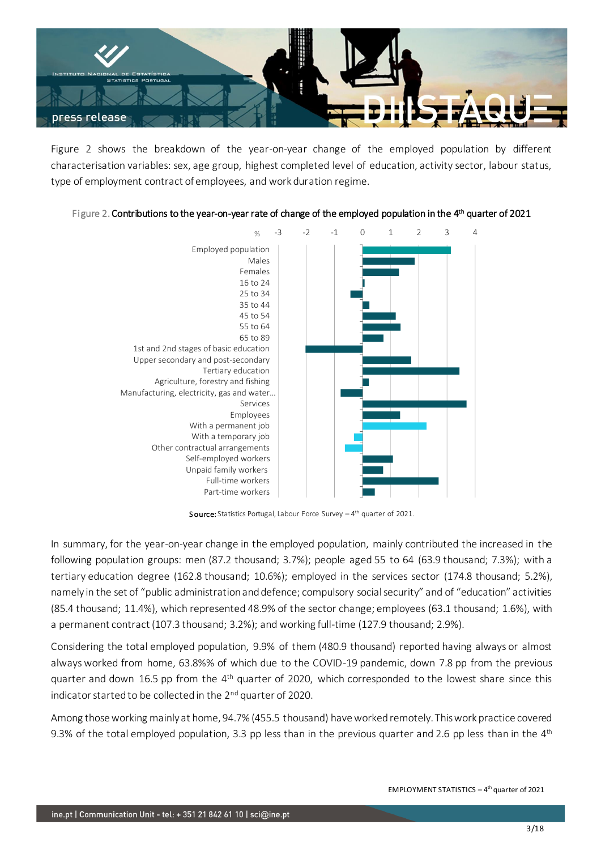

Figure 2 shows the breakdown of the year-on-year change of the employed population by different characterisation variables: sex, age group, highest completed level of education, activity sector, labour status, type of employment contract of employees, and work duration regime.





**Source:** Statistics Portugal, Labour Force Survey  $-4$ <sup>th</sup> quarter of 2021.

In summary, for the year-on-year change in the employed population, mainly contributed the increased in the following population groups: men (87.2 thousand; 3.7%); people aged 55 to 64 (63.9 thousand; 7.3%); with a tertiary education degree (162.8 thousand; 10.6%); employed in the services sector (174.8 thousand; 5.2%), namely in the set of "public administration and defence; compulsory social security" and of "education" activities (85.4 thousand; 11.4%), which represented 48.9% of the sector change; employees (63.1 thousand; 1.6%), with a permanent contract (107.3 thousand; 3.2%); and working full-time (127.9 thousand; 2.9%).

Considering the total employed population, 9.9% of them (480.9 thousand) reported having always or almost always worked from home, 63.8%% of which due to the COVID-19 pandemic, down 7.8 pp from the previous quarter and down 16.5 pp from the 4<sup>th</sup> quarter of 2020, which corresponded to the lowest share since this indicator started to be collected in the 2<sup>nd</sup> quarter of 2020.

Among those working mainly at home, 94.7% (455.5 thousand) have worked remotely. This work practice covered 9.3% of the total employed population, 3.3 pp less than in the previous quarter and 2.6 pp less than in the  $4<sup>th</sup>$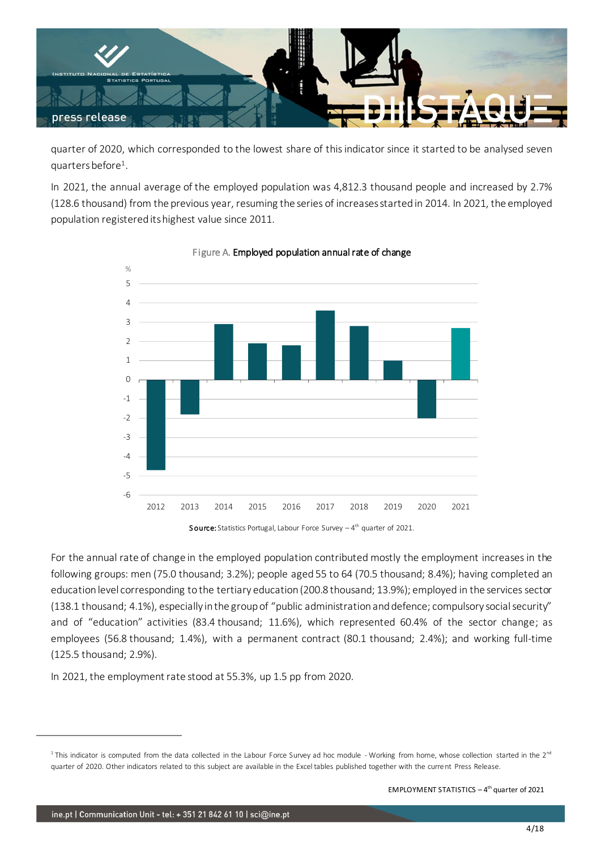

quarter of 2020, which corresponded to the lowest share of this indicator since it started to be analysed seven quarters before<sup>1</sup> .

In 2021, the annual average of the employed population was 4,812.3 thousand people and increased by 2.7% (128.6 thousand) from the previous year, resuming the series of increases started in 2014. In 2021, the employed population registered its highest value since 2011.



Figure A. Employed population annual rate of change

Source: Statistics Portugal, Labour Force Survey - 4<sup>th</sup> quarter of 2021.

For the annual rate of change in the employed population contributed mostly the employment increases in the following groups: men (75.0 thousand; 3.2%); people aged 55 to 64 (70.5 thousand; 8.4%); having completed an education level corresponding to the tertiary education (200.8 thousand; 13.9%); employed in the services sector (138.1 thousand; 4.1%), especially in the group of "public administration and defence; compulsory social security" and of "education" activities (83.4 thousand; 11.6%), which represented 60.4% of the sector change; as employees (56.8 thousand; 1.4%), with a permanent contract (80.1 thousand; 2.4%); and working full-time (125.5 thousand; 2.9%).

In 2021, the employment rate stood at 55.3%, up 1.5 pp from 2020.

<sup>&</sup>lt;sup>1</sup> This indicator is computed from the data collected in the Labour Force Survey ad hoc module - Working from home, whose collection started in the 2<sup>nd</sup> quarter of 2020. Other indicators related to this subject are available in the Excel tables published together with the current Press Release.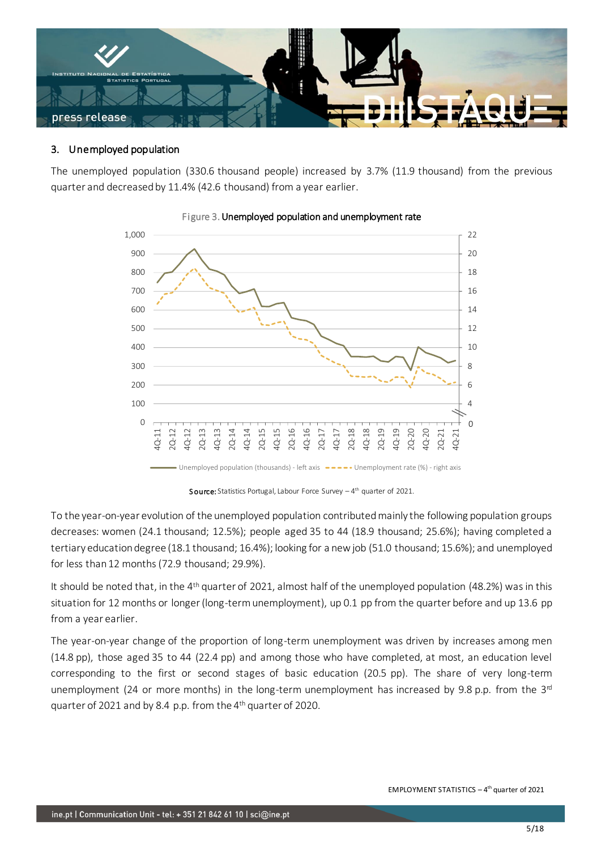

### 3. Unemployed population

The unemployed population (330.6 thousand people) increased by 3.7% (11.9 thousand) from the previous quarter and decreased by 11.4% (42.6 thousand) from a year earlier.



## Figure 3. Unemployed population and unemployment rate

Source: Statistics Portugal, Labour Force Survey - 4<sup>th</sup> quarter of 2021.

To the year-on-year evolution of the unemployed population contributed mainly the following population groups decreases: women (24.1 thousand; 12.5%); people aged 35 to 44 (18.9 thousand; 25.6%); having completed a tertiary education degree (18.1 thousand; 16.4%); looking for a new job (51.0 thousand; 15.6%); and unemployed for less than 12 months (72.9 thousand; 29.9%).

It should be noted that, in the 4<sup>th</sup> quarter of 2021, almost half of the unemployed population (48.2%) was in this situation for 12 months or longer (long-term unemployment), up 0.1 pp from the quarter before and up 13.6 pp from a year earlier.

The year-on-year change of the proportion of long-term unemployment was driven by increases among men (14.8 pp), those aged 35 to 44 (22.4 pp) and among those who have completed, at most, an education level corresponding to the first or second stages of basic education (20.5 pp). The share of very long-term unemployment (24 or more months) in the long-term unemployment has increased by 9.8 p.p. from the  $3<sup>rd</sup>$ quarter of 2021 and by 8.4 p.p. from the 4th quarter of 2020.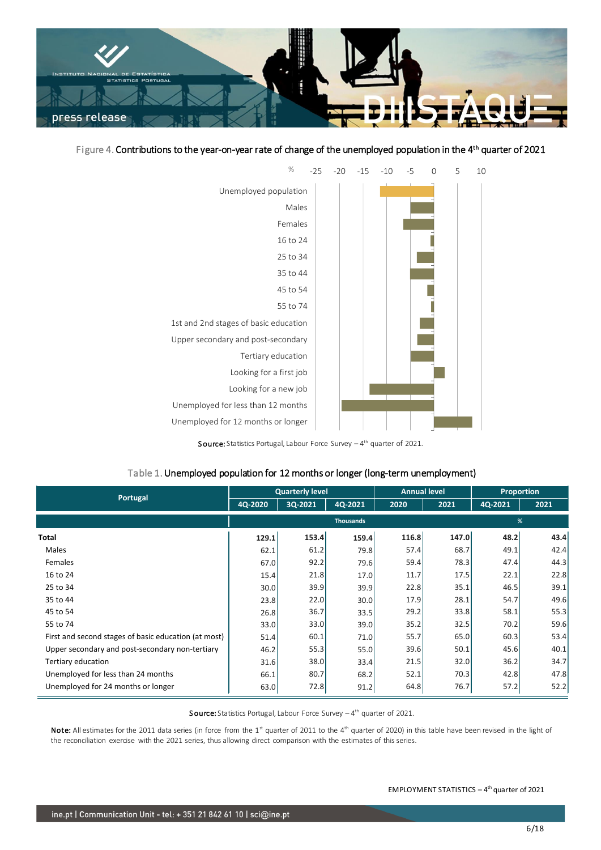

### Figure 4. Contributions to the year-on-year rate of change of the unemployed population in the 4<sup>th</sup> quarter of 2021



**Source:** Statistics Portugal, Labour Force Survey  $-4$ <sup>th</sup> quarter of 2021.

### Table 1. Unemployed population for 12 months or longer (long-term unemployment)

| Portugal                                             |         | <b>Quarterly level</b> |                  | <b>Annual level</b> |       | <b>Proportion</b> |      |  |
|------------------------------------------------------|---------|------------------------|------------------|---------------------|-------|-------------------|------|--|
|                                                      | 4Q-2020 | 3Q-2021                | 4Q-2021          | 2020                | 2021  | 4Q-2021           | 2021 |  |
|                                                      |         |                        | <b>Thousands</b> |                     |       | %                 |      |  |
| Total                                                | 129.1   | 153.4                  | 159.4            | 116.8               | 147.0 | 48.2              | 43.4 |  |
| <b>Males</b>                                         | 62.1    | 61.2                   | 79.8             | 57.4                | 68.7  | 49.1              | 42.4 |  |
| Females                                              | 67.0    | 92.2                   | 79.6             | 59.4                | 78.3  | 47.4              | 44.3 |  |
| 16 to 24                                             | 15.4    | 21.8                   | 17.0             | 11.7                | 17.5  | 22.1              | 22.8 |  |
| 25 to 34                                             | 30.0    | 39.9                   | 39.9             | 22.8                | 35.1  | 46.5              | 39.1 |  |
| 35 to 44                                             | 23.8    | 22.0                   | 30.0             | 17.9                | 28.1  | 54.7              | 49.6 |  |
| 45 to 54                                             | 26.8    | 36.7                   | 33.5             | 29.2                | 33.8  | 58.1              | 55.3 |  |
| 55 to 74                                             | 33.0    | 33.0                   | 39.0             | 35.2                | 32.5  | 70.2              | 59.6 |  |
| First and second stages of basic education (at most) | 51.4    | 60.1                   | 71.0             | 55.7                | 65.0  | 60.3              | 53.4 |  |
| Upper secondary and post-secondary non-tertiary      | 46.2    | 55.3                   | 55.0             | 39.6                | 50.1  | 45.6              | 40.1 |  |
| Tertiary education                                   | 31.6    | 38.0                   | 33.4             | 21.5                | 32.0  | 36.2              | 34.7 |  |
| Unemployed for less than 24 months                   | 66.1    | 80.7                   | 68.2             | 52.1                | 70.3  | 42.8              | 47.8 |  |
| Unemployed for 24 months or longer                   | 63.0    | 72.8                   | 91.2             | 64.8                | 76.7  | 57.2              | 52.2 |  |

Source: Statistics Portugal, Labour Force Survey - 4<sup>th</sup> quarter of 2021.

Note: All estimates for the 2011 data series (in force from the 1<sup>st</sup> quarter of 2011 to the 4<sup>th</sup> quarter of 2020) in this table have been revised in the light of the reconciliation exercise with the 2021 series, thus allowing direct comparison with the estimates of this series.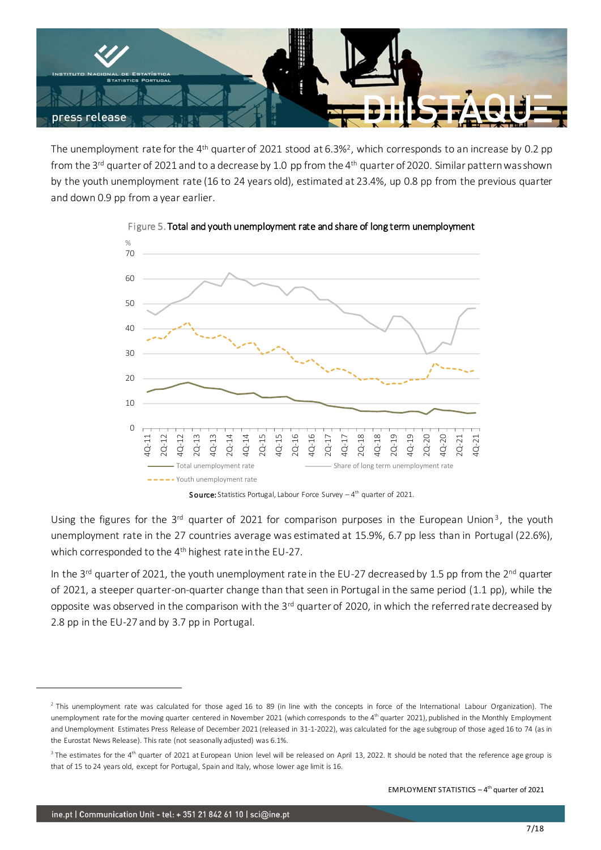

The unemployment rate for the 4<sup>th</sup> quarter of 2021 stood at 6.3%<sup>2</sup>, which corresponds to an increase by 0.2 pp from the 3<sup>rd</sup> quarter of 2021 and to a decrease by 1.0 pp from the 4<sup>th</sup> quarter of 2020. Similar pattern was shown by the youth unemployment rate (16 to 24 years old), estimated at 23.4%, up 0.8 pp from the previous quarter and down 0.9 pp from a year earlier.



## Figure 5. Total and youth unemployment rate and share of long term unemployment

**Source:** Statistics Portugal, Labour Force Survey  $-4$ <sup>th</sup> quarter of 2021.

Using the figures for the 3<sup>rd</sup> quarter of 2021 for comparison purposes in the European Union<sup>3</sup>, the youth unemployment rate in the 27 countries average was estimated at 15.9%, 6.7 pp less than in Portugal (22.6%), which corresponded to the 4<sup>th</sup> highest rate in the EU-27.

In the 3<sup>rd</sup> quarter of 2021, the youth unemployment rate in the EU-27 decreased by 1.5 pp from the 2<sup>nd</sup> quarter of 2021, a steeper quarter-on-quarter change than that seen in Portugal in the same period (1.1 pp), while the opposite was observed in the comparison with the 3rd quarter of 2020, in which the referred rate decreased by 2.8 pp in the EU-27 and by 3.7 pp in Portugal.

<sup>&</sup>lt;sup>2</sup> This unemployment rate was calculated for those aged 16 to 89 (in line with the concepts in force of the International Labour Organization). The unemployment rate for the moving quarter centered in November 2021 (which corresponds to the 4<sup>th</sup> quarter 2021), published in the Monthly Employment and Unemployment Estimates Press Release of December 2021 (released in 31-1-2022), was calculated for the age subgroup of those aged 16 to 74 (as in the Eurostat News Release). This rate (not seasonally adjusted) was 6.1%.

 $3$  The estimates for the 4<sup>th</sup> quarter of 2021 at European Union level will be released on April 13, 2022. It should be noted that the reference age group is that of 15 to 24 years old, except for Portugal, Spain and Italy, whose lower age limit is 16.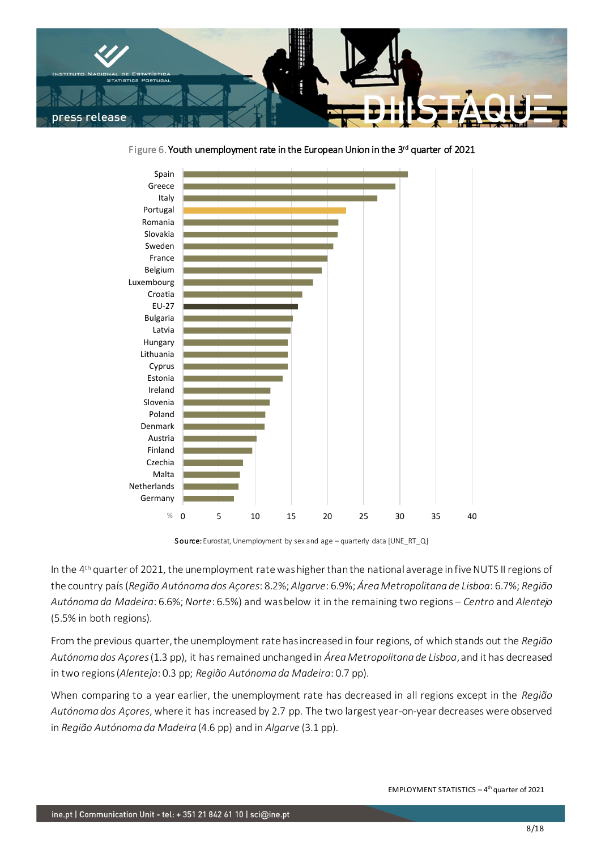

0 5 10 15 20 25 30 35 40 Germany Netherlands Malta Czechia Finland Austria Denmark Poland Slovenia Ireland Estonia Cyprus Lithuania Hungary Latvia Bulgaria EU-27 Croatia Luxembourg Belgium France Sweden Slovakia Romania Portugal Italy Greece Spain %

Figure 6. Youth unemployment rate in the European Union in the 3<sup>rd</sup> quarter of 2021

Source: Eurostat, Unemployment by sex and age – quarterly data [UNE\_RT\_Q]

In the 4 th quarter of 2021, the unemployment rate was higher than the national average in fiveNUTS II regions of the country país (*Região Autónoma dos Açores*: 8.2%; *Algarve*: 6.9%; *Área Metropolitana de Lisboa*: 6.7%; *Região Autónoma da Madeira*: 6.6%; *Norte*: 6.5%) and was below it in the remaining two regions – *Centro* and *Alentejo* (5.5% in both regions).

From the previous quarter, the unemployment rate has increased in four regions, of which stands out the *Região Autónoma dos Açores*(1.3 pp), it has remained unchanged in *Área Metropolitana de Lisboa*, and it has decreased in two regions (*Alentejo*: 0.3 pp; *Região Autónoma da Madeira*: 0.7 pp).

When comparing to a year earlier, the unemployment rate has decreased in all regions except in the *Região Autónoma dos Açores*, where it has increased by 2.7 pp. The two largest year-on-year decreases were observed in *Região Autónoma da Madeira* (4.6 pp) and in *Algarve* (3.1 pp).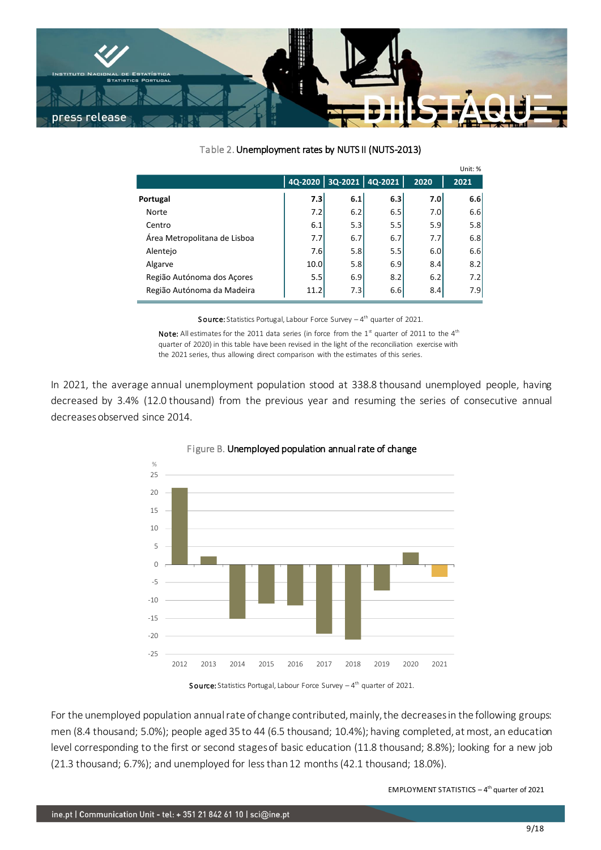

### Table 2. Unemployment rates by NUTS II (NUTS-2013)

|                              |      |     |                         |                  | Unit: % |
|------------------------------|------|-----|-------------------------|------------------|---------|
|                              |      |     | 4Q-2020 3Q-2021 4Q-2021 | 2020             | 2021    |
| Portugal                     | 7.3  | 6.1 | 6.3                     | 7.0 <sub>l</sub> | 6.6     |
| Norte                        | 7.2  | 6.2 | 6.5                     | 7.0              | 6.6     |
| Centro                       | 6.1  | 5.3 | 5.5                     | 5.9              | 5.8     |
| Área Metropolitana de Lisboa | 7.7  | 6.7 | 6.7                     | 7.7              | 6.8     |
| Alentejo                     | 7.6  | 5.8 | 5.5                     | 6.0              | 6.6     |
| Algarve                      | 10.0 | 5.8 | 6.9                     | 8.4              | 8.2     |
| Região Autónoma dos Açores   | 5.5  | 6.9 | 8.2                     | 6.2              | 7.2     |
| Região Autónoma da Madeira   | 11.2 | 7.3 | 6.6                     | 8.4              | 7.9     |

**Source:** Statistics Portugal, Labour Force Survey  $-4$ <sup>th</sup> quarter of 2021.

Note: All estimates for the 2011 data series (in force from the  $1<sup>st</sup>$  quarter of 2011 to the  $4<sup>th</sup>$ quarter of 2020) in this table have been revised in the light of the reconciliation exercise with the 2021 series, thus allowing direct comparison with the estimates of this series.

In 2021, the average annual unemployment population stood at 338.8 thousand unemployed people, having decreased by 3.4% (12.0 thousand) from the previous year and resuming the series of consecutive annual decreases observed since 2014.





For the unemployed population annual rate of change contributed, mainly, the decreases in the following groups: men (8.4 thousand; 5.0%); people aged 35 to 44 (6.5 thousand; 10.4%); having completed, at most, an education level corresponding to the first or second stages of basic education (11.8 thousand; 8.8%); looking for a new job (21.3 thousand; 6.7%); and unemployed for less than 12 months (42.1 thousand; 18.0%).

**Source:** Statistics Portugal, Labour Force Survey  $-4$ <sup>th</sup> quarter of 2021.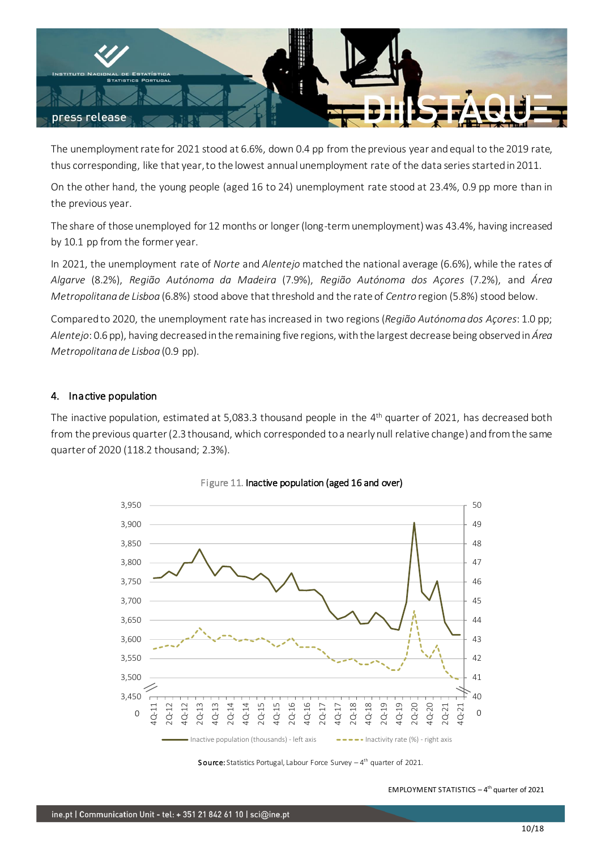

The unemployment rate for 2021 stood at 6.6%, down 0.4 pp from the previous year and equal to the 2019 rate, thus corresponding, like that year, to the lowest annual unemployment rate of the data series started in 2011.

On the other hand, the young people (aged 16 to 24) unemployment rate stood at 23.4%, 0.9 pp more than in the previous year.

The share of those unemployed for 12 months or longer (long-term unemployment) was 43.4%, having increased by 10.1 pp from the former year.

In 2021, the unemployment rate of *Norte* and *Alentejo* matched the national average (6.6%), while the rates of *Algarve* (8.2%), *Região Autónoma da Madeira* (7.9%), *Região Autónoma dos Açores* (7.2%), and *Área Metropolitana de Lisboa* (6.8%) stood above that threshold and the rate of *Centro* region (5.8%) stood below.

Compared to 2020, the unemployment rate has increased in two regions(*Região Autónoma dos Açores*: 1.0 pp; *Alentejo*: 0.6 pp), having decreased in the remaining five regions, with the largest decrease being observed in *Área Metropolitana de Lisboa* (0.9 pp).

## 4. Inactive population

The inactive population, estimated at 5,083.3 thousand people in the 4 th quarter of 2021, has decreased both from the previous quarter (2.3 thousand, which corresponded to a nearly null relative change) and from the same quarter of 2020 (118.2 thousand; 2.3%).



Figure 11. Inactive population (aged 16 and over)

**Source:** Statistics Portugal, Labour Force Survey  $-4$ <sup>th</sup> quarter of 2021.

EMPLOYMENT STATISTICS  $-4$ <sup>th</sup> quarter of 2021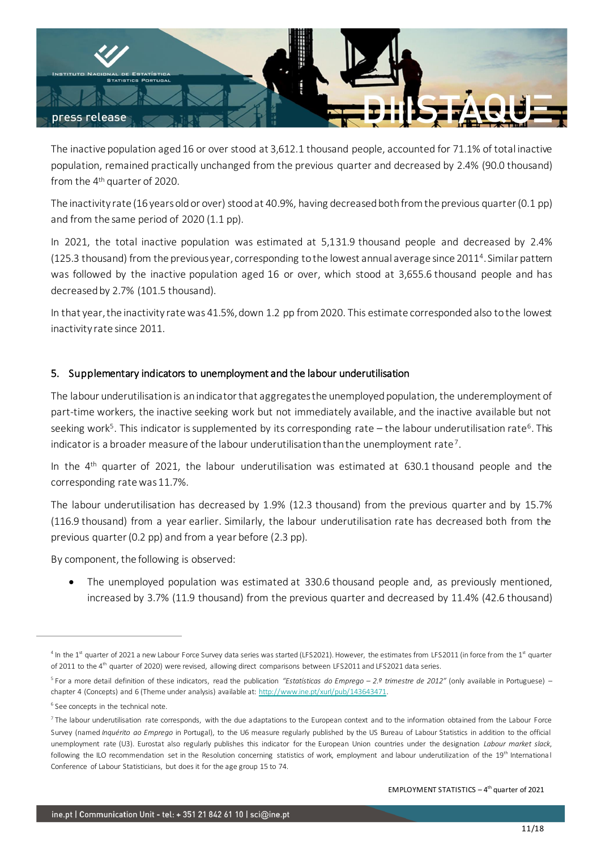

The inactive population aged 16 or over stood at 3,612.1 thousand people, accounted for 71.1% of total inactive population, remained practically unchanged from the previous quarter and decreased by 2.4% (90.0 thousand) from the 4 th quarter of 2020.

The inactivity rate (16 years old or over) stood at 40.9%, having decreased both from the previous quarter (0.1 pp) and from the same period of 2020 (1.1 pp).

In 2021, the total inactive population was estimated at 5,131.9 thousand people and decreased by 2.4% (125.3 thousand) from the previous year, corresponding to the lowest annual average since 2011<sup>4</sup>. Similar pattern was followed by the inactive population aged 16 or over, which stood at 3,655.6 thousand people and has decreased by 2.7% (101.5 thousand).

In that year, the inactivity rate was 41.5%, down 1.2 pp from 2020. This estimate corresponded also to the lowest inactivity rate since 2011.

## 5. Supplementary indicators to unemployment and the labour underutilisation

The labour underutilisation is an indicator that aggregates the unemployed population, the underemployment of part-time workers, the inactive seeking work but not immediately available, and the inactive available but not seeking work<sup>5</sup>. This indicator is supplemented by its corresponding rate – the labour underutilisation rate<sup>6</sup>. This indicator is a broader measure of the labour underutilisation than the unemployment rate<sup>7</sup>.

In the 4<sup>th</sup> quarter of 2021, the labour underutilisation was estimated at 630.1 thousand people and the corresponding rate was 11.7%.

The labour underutilisation has decreased by 1.9% (12.3 thousand) from the previous quarter and by 15.7% (116.9 thousand) from a year earlier. Similarly, the labour underutilisation rate has decreased both from the previous quarter (0.2 pp) and from a year before (2.3 pp).

By component, the following is observed:

• The unemployed population was estimated at 330.6 thousand people and, as previously mentioned, increased by 3.7% (11.9 thousand) from the previous quarter and decreased by 11.4% (42.6 thousand)

<sup>&</sup>lt;sup>4</sup> In the 1<sup>st</sup> quarter of 2021 a new Labour Force Survey data series was started (LFS2021). However, the estimates from LFS2011 (in force from the 1<sup>st</sup> quarter of 2011 to the 4<sup>th</sup> quarter of 2020) were revised, allowing direct comparisons between LFS2011 and LFS2021 data series.

<sup>5</sup> For a more detail definition of these indicators, read the publication *"Estatísticas do Emprego – 2.º trimestre de 2012"* (only available in Portuguese) – chapter 4 (Concepts) and 6 (Theme under analysis) available at: [http://www.ine.pt/xurl/pub/143643471.](http://www.ine.pt/xurl/pub/143643471)

<sup>&</sup>lt;sup>6</sup> See concepts in the technical note.

 $^7$  The labour underutilisation rate corresponds, with the due adaptations to the European context and to the information obtained from the Labour Force Survey (named *Inquérito ao Emprego* in Portugal), to the U6 measure regularly published by the US Bureau of Labour Statistics in addition to the official unemployment rate (U3). Eurostat also regularly publishes this indicator for the European Union countries under the designation *Labour market slack*, following the ILO recommendation set in the Resolution concerning statistics of work, employment and labour underutilization of the 19<sup>th</sup> International Conference of Labour Statisticians, but does it for the age group 15 to 74.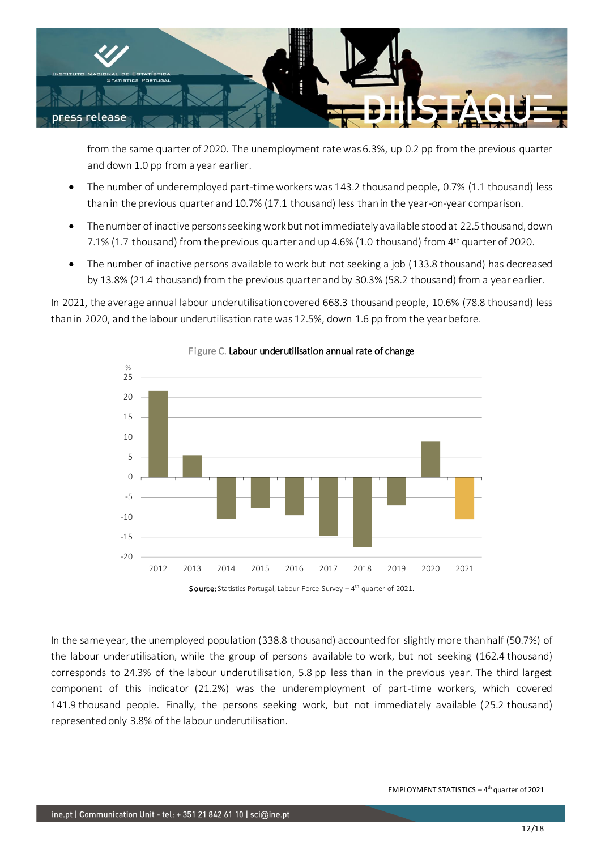

from the same quarter of 2020. The unemployment rate was 6.3%, up 0.2 pp from the previous quarter and down 1.0 pp from a year earlier.

- The number of underemployed part-time workers was 143.2 thousand people, 0.7% (1.1 thousand) less than in the previous quarter and 10.7% (17.1 thousand) less than in the year-on-year comparison.
- The number of inactive persons seeking work but not immediately available stood at 22.5 thousand, down 7.1% (1.7 thousand) from the previous quarter and up 4.6% (1.0 thousand) from 4<sup>th</sup> quarter of 2020.
- The number of inactive persons available to work but not seeking a job (133.8 thousand) has decreased by 13.8% (21.4 thousand) from the previous quarter and by 30.3% (58.2 thousand) from a year earlier.

In 2021, the average annual labour underutilisation covered 668.3 thousand people, 10.6% (78.8 thousand) less than in 2020, and the labour underutilisation rate was 12.5%, down 1.6 pp from the year before.



## Figure C. Labour underutilisation annual rate of change

In the same year, the unemployed population (338.8 thousand) accounted for slightly more than half (50.7%) of the labour underutilisation, while the group of persons available to work, but not seeking (162.4 thousand) corresponds to 24.3% of the labour underutilisation, 5.8 pp less than in the previous year. The third largest component of this indicator (21.2%) was the underemployment of part-time workers, which covered 141.9 thousand people. Finally, the persons seeking work, but not immediately available (25.2 thousand) represented only 3.8% of the labour underutilisation.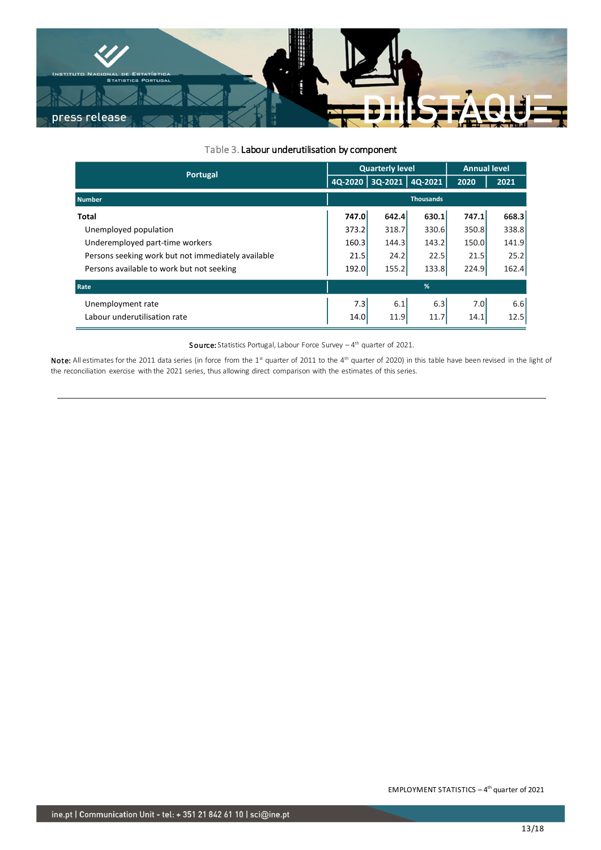

#### Table 3. Labour underutilisation by component

| Portugal                                           |                  | <b>Quarterly level</b> | <b>Annual level</b> |       |       |
|----------------------------------------------------|------------------|------------------------|---------------------|-------|-------|
|                                                    |                  | 4Q-2020 3Q-2021        | 4Q-2021             | 2020  | 2021  |
| <b>Number</b>                                      | <b>Thousands</b> |                        |                     |       |       |
| <b>Total</b>                                       | 747.0            | 642.4                  | 630.1               | 747.1 | 668.3 |
| Unemployed population                              | 373.2            | 318.7                  | 330.6               | 350.8 | 338.8 |
| Underemployed part-time workers                    |                  | 144.3                  | 143.2               | 150.0 | 141.9 |
| Persons seeking work but not immediately available | 21.5             | 24.2                   | 22.5                | 21.5  | 25.2  |
| Persons available to work but not seeking          | 192.0            | 155.2                  | 133.8               | 224.9 | 162.4 |
| Rate                                               |                  |                        | %                   |       |       |
| Unemployment rate                                  | 7.3              | 6.1                    | 6.3                 | 7.0   | 6.6   |
| Labour underutilisation rate                       | 14.0             | 11.9                   | 11.7                | 14.1  | 12.5  |

**Source:** Statistics Portugal, Labour Force Survey  $-4$ <sup>th</sup> quarter of 2021.

Note: All estimates for the 2011 data series (in force from the 1<sup>st</sup> quarter of 2011 to the 4<sup>th</sup> quarter of 2020) in this table have been revised in the light of the reconciliation exercise with the 2021 series, thus allowing direct comparison with the estimates of this series.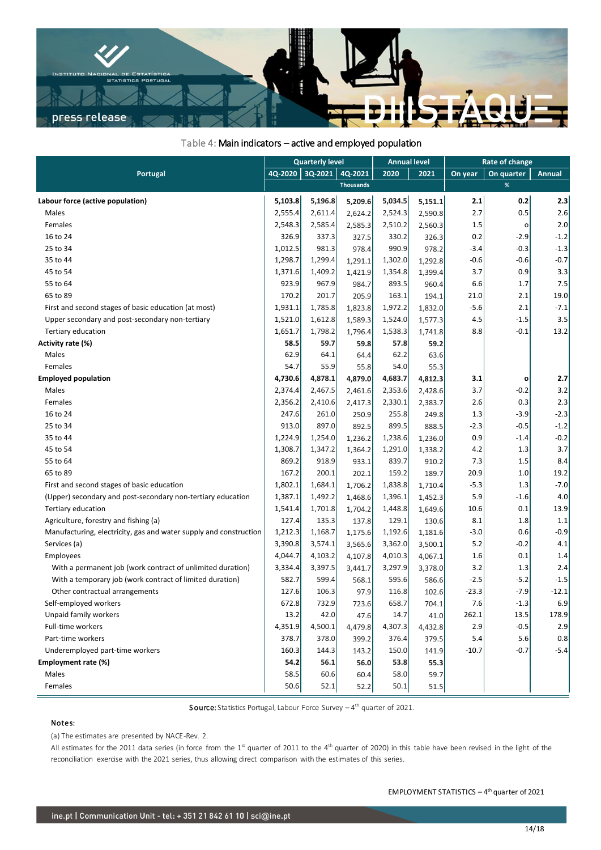

### Table 4: Main indicators – active and employed population

| Portugal                                                          |         | <b>Quarterly level</b> |                  |         | <b>Annual level</b> |         | Rate of change |               |
|-------------------------------------------------------------------|---------|------------------------|------------------|---------|---------------------|---------|----------------|---------------|
|                                                                   |         | 3Q-2021<br>4Q-2020     | 4Q-2021          | 2020    | 2021                | On year | On quarter     | <b>Annual</b> |
|                                                                   |         |                        | <b>Thousands</b> |         |                     |         | %              |               |
| Labour force (active population)                                  | 5,103.8 | 5,196.8                | 5,209.6          | 5,034.5 | 5,151.1             | 2.1     | 0.2            | 2.3           |
| Males                                                             | 2,555.4 | 2,611.4                | 2,624.2          | 2,524.3 | 2,590.8             | 2.7     | 0.5            | 2.6           |
| Females                                                           | 2,548.3 | 2,585.4                | 2,585.3          | 2,510.2 | 2,560.3             | 1.5     | о              | 2.0           |
| 16 to 24                                                          | 326.9   | 337.3                  | 327.5            | 330.2   | 326.3               | 0.2     | $-2.9$         | $-1.2$        |
| 25 to 34                                                          | 1,012.5 | 981.3                  | 978.4            | 990.9   | 978.2               | $-3.4$  | $-0.3$         | $-1.3$        |
| 35 to 44                                                          | 1,298.7 | 1,299.4                | 1,291.1          | 1,302.0 | 1,292.8             | $-0.6$  | $-0.6$         | $-0.7$        |
| 45 to 54                                                          | 1,371.6 | 1,409.2                | 1,421.9          | 1,354.8 | 1,399.4             | 3.7     | 0.9            | 3.3           |
| 55 to 64                                                          | 923.9   | 967.9                  | 984.7            | 893.5   | 960.4               | 6.6     | 1.7            | 7.5           |
| 65 to 89                                                          | 170.2   | 201.7                  | 205.9            | 163.1   | 194.1               | 21.0    | 2.1            | 19.0          |
| First and second stages of basic education (at most)              | 1,931.1 | 1,785.8                | 1,823.8          | 1,972.2 | 1,832.0             | $-5.6$  | 2.1            | $-7.1$        |
| Upper secondary and post-secondary non-tertiary                   | 1,521.0 | 1,612.8                | 1,589.3          | 1,524.0 | 1,577.3             | 4.5     | $-1.5$         | 3.5           |
| Tertiary education                                                | 1,651.7 | 1,798.2                | 1,796.4          | 1,538.3 | 1,741.8             | 8.8     | $-0.1$         | 13.2          |
| Activity rate (%)                                                 | 58.5    | 59.7                   | 59.8             | 57.8    | 59.2                |         |                |               |
| Males                                                             | 62.9    | 64.1                   | 64.4             | 62.2    | 63.6                |         |                |               |
| Females                                                           | 54.7    | 55.9                   | 55.8             | 54.0    | 55.3                |         |                |               |
| <b>Employed population</b>                                        | 4,730.6 | 4,878.1                | 4,879.0          | 4,683.7 | 4,812.3             | 3.1     | o              | 2.7           |
| Males                                                             | 2,374.4 | 2,467.5                | 2,461.6          | 2,353.6 | 2,428.6             | 3.7     | $-0.2$         | 3.2           |
| Females                                                           | 2,356.2 | 2,410.6                | 2,417.3          | 2,330.1 | 2,383.7             | 2.6     | 0.3            | 2.3           |
| 16 to 24                                                          | 247.6   | 261.0                  | 250.9            | 255.8   | 249.8               | 1.3     | $-3.9$         | $-2.3$        |
| 25 to 34                                                          | 913.0   | 897.0                  | 892.5            | 899.5   | 888.5               | $-2.3$  | $-0.5$         | $-1.2$        |
| 35 to 44                                                          | 1,224.9 | 1,254.0                | 1,236.2          | 1,238.6 | 1,236.0             | 0.9     | $-1.4$         | $-0.2$        |
| 45 to 54                                                          | 1,308.7 | 1,347.2                | 1,364.2          | 1,291.0 | 1,338.2             | 4.2     | 1.3            | 3.7           |
| 55 to 64                                                          | 869.2   | 918.9                  | 933.1            | 839.7   | 910.2               | 7.3     | 1.5            | 8.4           |
| 65 to 89                                                          | 167.2   | 200.1                  | 202.1            | 159.2   | 189.7               | 20.9    | 1.0            | 19.2          |
| First and second stages of basic education                        | 1,802.1 | 1,684.1                | 1,706.2          | 1,838.8 | 1,710.4             | $-5.3$  | 1.3            | $-7.0$        |
| (Upper) secondary and post-secondary non-tertiary education       | 1,387.1 | 1,492.2                | 1,468.6          | 1,396.1 | 1,452.3             | 5.9     | $-1.6$         | 4.0           |
| Tertiary education                                                | 1,541.4 | 1,701.8                | 1,704.2          | 1,448.8 | 1,649.6             | 10.6    | 0.1            | 13.9          |
| Agriculture, forestry and fishing (a)                             | 127.4   | 135.3                  | 137.8            | 129.1   | 130.6               | 8.1     | 1.8            | 1.1           |
| Manufacturing, electricity, gas and water supply and construction | 1,212.3 | 1,168.7                | 1,175.6          | 1,192.6 | 1,181.6             | $-3.0$  | 0.6            | $-0.9$        |
| Services (a)                                                      | 3,390.8 | 3,574.1                | 3,565.6          | 3,362.0 | 3,500.1             | 5.2     | $-0.2$         | 4.1           |
| Employees                                                         | 4,044.7 | 4,103.2                | 4,107.8          | 4,010.3 | 4,067.1             | 1.6     | 0.1            | 1.4           |
| With a permanent job (work contract of unlimited duration)        | 3,334.4 | 3,397.5                | 3,441.7          | 3,297.9 | 3,378.0             | 3.2     | 1.3            | 2.4           |
| With a temporary job (work contract of limited duration)          | 582.7   | 599.4                  | 568.1            | 595.6   | 586.6               | $-2.5$  | $-5.2$         | $-1.5$        |
| Other contractual arrangements                                    | 127.6   | 106.3                  | 97.9             | 116.8   | 102.6               | $-23.3$ | -7.9           | $-12.1$       |
| Self-employed workers                                             | 672.8   | 732.9                  | 723.6            | 658.7   | 704.1               | 7.6     | $-1.3$         | 6.9           |
| Unpaid family workers                                             | 13.2    | 42.0                   | 47.6             | 14.7    | 41.0                | 262.1   | 13.5           | 178.9         |
| <b>Full-time workers</b>                                          | 4,351.9 | 4,500.1                | 4,479.8          | 4,307.3 | 4,432.8             | 2.9     | $-0.5$         | 2.9           |
| Part-time workers                                                 | 378.7   | 378.0                  | 399.2            | 376.4   | 379.5               | 5.4     | 5.6            | 0.8           |
| Underemployed part-time workers                                   | 160.3   | 144.3                  | 143.2            | 150.0   | 141.9               | $-10.7$ | $-0.7$         | $-5.4$        |
| Employment rate (%)                                               | 54.2    | 56.1                   | 56.0             | 53.8    | 55.3                |         |                |               |
| Males                                                             | 58.5    | 60.6                   | 60.4             | 58.0    | 59.7                |         |                |               |
| Females                                                           | 50.6    | 52.1                   | 52.2             | 50.1    | 51.5                |         |                |               |

Source: Statistics Portugal, Labour Force Survey – 4<sup>th</sup> quarter of 2021.

#### Notes:

(a) The estimates are presented by NACE-Rev. 2.

All estimates for the 2011 data series (in force from the 1<sup>st</sup> quarter of 2011 to the 4<sup>th</sup> quarter of 2020) in this table have been revised in the light of the reconciliation exercise with the 2021 series, thus allowing direct comparison with the estimates of this series.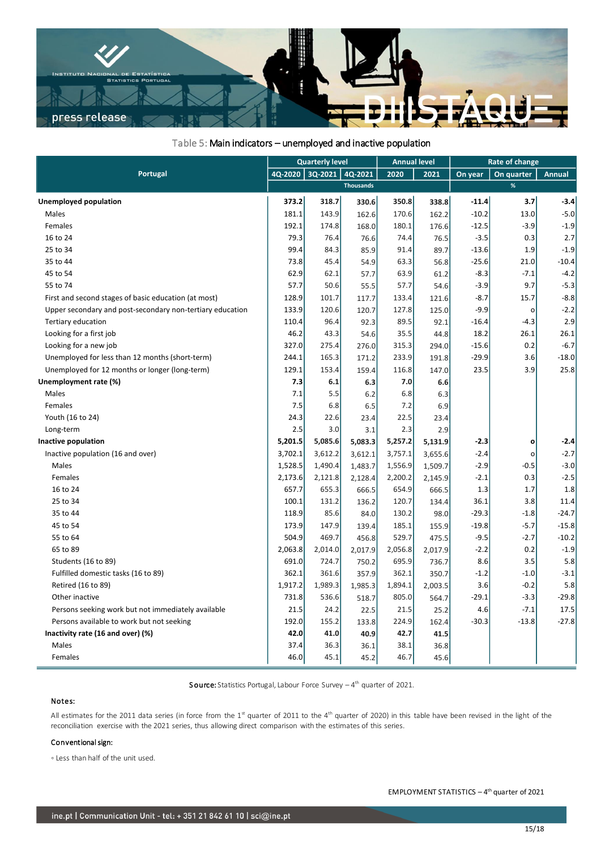

### Table 5: Main indicators – unemployed and inactive population

|                                                           |         | <b>Quarterly level</b> |                  |         | <b>Annual level</b> |         | Rate of change |               |  |
|-----------------------------------------------------------|---------|------------------------|------------------|---------|---------------------|---------|----------------|---------------|--|
| Portugal                                                  | 4Q-2020 | 3Q-2021                | 4Q-2021          | 2020    | 2021                | On year | On quarter     | <b>Annual</b> |  |
|                                                           |         |                        | <b>Thousands</b> |         |                     |         | %              |               |  |
| <b>Unemployed population</b>                              | 373.2   | 318.7                  | 330.6            | 350.8   | 338.8               | $-11.4$ | 3.7            | $-3.4$        |  |
| Males                                                     | 181.1   | 143.9                  | 162.6            | 170.6   | 162.2               | $-10.2$ | 13.0           | $-5.0$        |  |
| Females                                                   | 192.1   | 174.8                  | 168.0            | 180.1   | 176.6               | $-12.5$ | $-3.9$         | $-1.9$        |  |
| 16 to 24                                                  | 79.3    | 76.4                   | 76.6             | 74.4    | 76.5                | $-3.5$  | 0.3            | 2.7           |  |
| 25 to 34                                                  | 99.4    | 84.3                   | 85.9             | 91.4    | 89.7                | $-13.6$ | 1.9            | $-1.9$        |  |
| 35 to 44                                                  | 73.8    | 45.4                   | 54.9             | 63.3    | 56.8                | $-25.6$ | 21.0           | $-10.4$       |  |
| 45 to 54                                                  | 62.9    | 62.1                   | 57.7             | 63.9    | 61.2                | $-8.3$  | $-7.1$         | $-4.2$        |  |
| 55 to 74                                                  | 57.7    | 50.6                   | 55.5             | 57.7    | 54.6                | $-3.9$  | 9.7            | $-5.3$        |  |
| First and second stages of basic education (at most)      | 128.9   | 101.7                  | 117.7            | 133.4   | 121.6               | $-8.7$  | 15.7           | $-8.8$        |  |
| Upper secondary and post-secondary non-tertiary education | 133.9   | 120.6                  | 120.7            | 127.8   | 125.0               | $-9.9$  | $\mathsf{o}$   | $-2.2$        |  |
| Tertiary education                                        | 110.4   | 96.4                   | 92.3             | 89.5    | 92.1                | $-16.4$ | $-4.3$         | 2.9           |  |
| Looking for a first job                                   | 46.2    | 43.3                   | 54.6             | 35.5    | 44.8                | 18.2    | 26.1           | 26.1          |  |
| Looking for a new job                                     | 327.0   | 275.4                  | 276.0            | 315.3   | 294.0               | $-15.6$ | 0.2            | $-6.7$        |  |
| Unemployed for less than 12 months (short-term)           | 244.1   | 165.3                  | 171.2            | 233.9   | 191.8               | $-29.9$ | 3.6            | $-18.0$       |  |
| Unemployed for 12 months or longer (long-term)            | 129.1   | 153.4                  | 159.4            | 116.8   | 147.0               | 23.5    | 3.9            | 25.8          |  |
| Unemployment rate (%)                                     | 7.3     | 6.1                    | 6.3              | 7.0     | 6.6                 |         |                |               |  |
| Males                                                     | 7.1     | 5.5                    | 6.2              | 6.8     | 6.3                 |         |                |               |  |
| Females                                                   | 7.5     | 6.8                    | 6.5              | 7.2     | 6.9                 |         |                |               |  |
| Youth (16 to 24)                                          | 24.3    | 22.6                   | 23.4             | 22.5    | 23.4                |         |                |               |  |
| Long-term                                                 | 2.5     | 3.0                    | 3.1              | 2.3     | 2.9                 |         |                |               |  |
| Inactive population                                       | 5,201.5 | 5,085.6                | 5,083.3          | 5,257.2 | 5,131.9             | $-2.3$  | $\mathbf{o}$   | $-2.4$        |  |
| Inactive population (16 and over)                         | 3,702.1 | 3,612.2                | 3,612.1          | 3,757.1 | 3,655.6             | $-2.4$  | o              | $-2.7$        |  |
| Males                                                     | 1,528.5 | 1,490.4                | 1,483.7          | 1,556.9 | 1,509.7             | $-2.9$  | $-0.5$         | $-3.0$        |  |
| Females                                                   | 2,173.6 | 2,121.8                | 2,128.4          | 2,200.2 | 2,145.9             | $-2.1$  | 0.3            | $-2.5$        |  |
| 16 to 24                                                  | 657.7   | 655.3                  | 666.5            | 654.9   | 666.5               | 1.3     | 1.7            | 1.8           |  |
| 25 to 34                                                  | 100.1   | 131.2                  | 136.2            | 120.7   | 134.4               | 36.1    | 3.8            | 11.4          |  |
| 35 to 44                                                  | 118.9   | 85.6                   | 84.0             | 130.2   | 98.0                | $-29.3$ | $-1.8$         | $-24.7$       |  |
| 45 to 54                                                  | 173.9   | 147.9                  | 139.4            | 185.1   | 155.9               | $-19.8$ | $-5.7$         | $-15.8$       |  |
| 55 to 64                                                  | 504.9   | 469.7                  | 456.8            | 529.7   | 475.5               | $-9.5$  | -2.7           | $-10.2$       |  |
| 65 to 89                                                  | 2,063.8 | 2,014.0                | 2,017.9          | 2,056.8 | 2,017.9             | $-2.2$  | 0.2            | $-1.9$        |  |
| Students (16 to 89)                                       | 691.0   | 724.7                  | 750.2            | 695.9   | 736.7               | 8.6     | 3.5            | 5.8           |  |
| Fulfilled domestic tasks (16 to 89)                       | 362.1   | 361.6                  | 357.9            | 362.1   | 350.7               | $-1.2$  | $-1.0$         | $-3.1$        |  |
| Retired (16 to 89)                                        | 1,917.2 | 1,989.3                | 1,985.3          | 1,894.1 | 2,003.5             | 3.6     | $-0.2$         | 5.8           |  |
| Other inactive                                            | 731.8   | 536.6                  | 518.7            | 805.0   | 564.7               | $-29.1$ | $-3.3$         | $-29.8$       |  |
| Persons seeking work but not immediately available        | 21.5    | 24.2                   | 22.5             | 21.5    | 25.2                | 4.6     | $-7.1$         | 17.5          |  |
| Persons available to work but not seeking                 | 192.0   | 155.2                  | 133.8            | 224.9   | 162.4               | $-30.3$ | $-13.8$        | $-27.8$       |  |
| Inactivity rate (16 and over) (%)                         | 42.0    | 41.0                   | 40.9             | 42.7    | 41.5                |         |                |               |  |
| Males                                                     | 37.4    | 36.3                   | 36.1             | 38.1    | 36.8                |         |                |               |  |
| Females                                                   | 46.0    | 45.1                   | 45.2             | 46.7    | 45.6                |         |                |               |  |

**Source:** Statistics Portugal, Labour Force Survey  $-4$ <sup>th</sup> quarter of 2021.

#### Notes:

All estimates for the 2011 data series (in force from the  $1<sup>st</sup>$  quarter of 2011 to the 4<sup>th</sup> quarter of 2020) in this table have been revised in the light of the reconciliation exercise with the 2021 series, thus allowing direct comparison with the estimates of this series.

#### Conventional sign:

◦ Less than half of the unit used.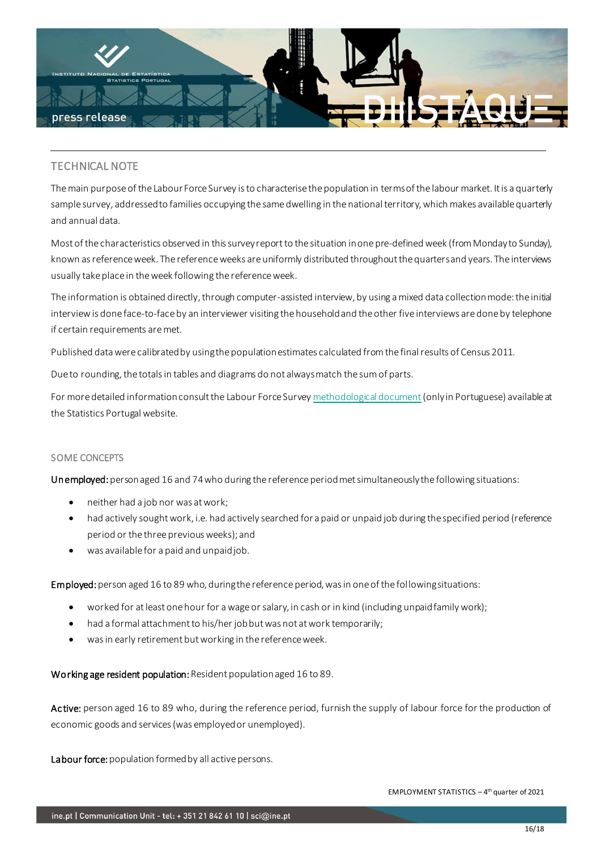

## TECHNICAL NOTE

The main purpose of the Labour Force Survey is to characterise the population in terms of the labour market. It is a quarterly sample survey, addressed to families occupying the same dwelling in the national territory, which makes available quarterly and annual data.

Most of the characteristics observed in this survey report to the situation in one pre-defined week (from Monday to Sunday), known as reference week. The reference weeks are uniformly distributed throughout the quarters and years. The interviews usually take place in the week following the reference week.

The information is obtained directly, through computer-assisted interview, by using a mixed data collection mode: the initial interview is done face-to-face by an interviewer visiting the household and the other five interviews are done by telephone if certain requirements are met.

Published data were calibrated by using the population estimates calculated from the final results of Census 2011.

Due to rounding, the totals in tables and diagrams do not always match the sum of parts.

For more detailed information consult the Labour Force Surve[y methodological document](https://smi.ine.pt/DocumentacaoMetodologica/Detalhes/1572) (only in Portuguese) available at the Statistics Portugal website.

### SOME CONCEPTS

Unemployed: person aged 16 and 74 who during the reference period met simultaneously the following situations:

- neither had a job nor was at work;
- had actively sought work, i.e. had actively searched for a paid or unpaid job during the specified period (reference period or the three previous weeks); and
- was available for a paid and unpaid job.

Employed: person aged 16 to 89 who, during the reference period, was in one of the following situations:

- worked for at least one hour for a wage or salary, in cash or in kind (including unpaid family work);
- had a formal attachment to his/her job but was not at work temporarily;
- was in early retirement but working in the reference week.

Working age resident population: Resident population aged 16 to 89.

Active: person aged 16 to 89 who, during the reference period, furnish the supply of labour force for the production of economic goods and services (was employed or unemployed).

Labour force: population formed by all active persons.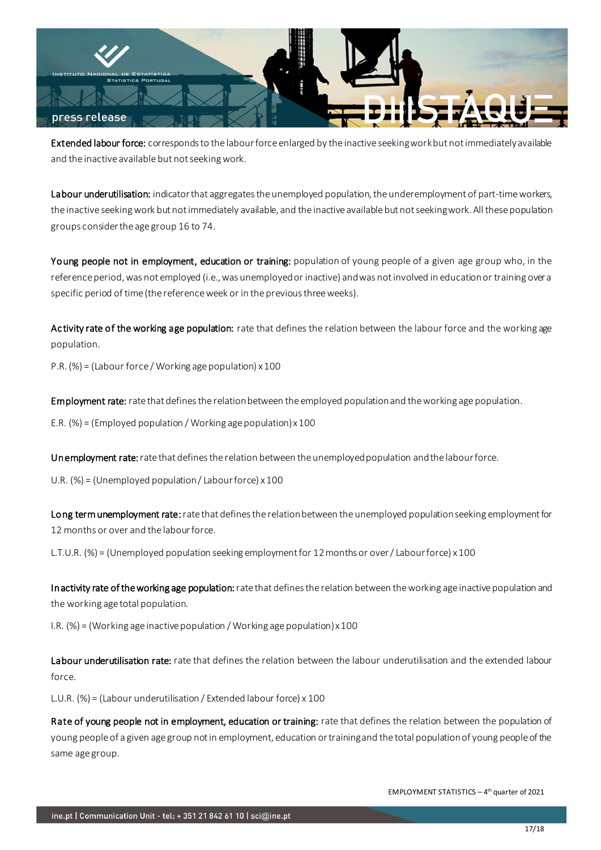

Extended labour force: corresponds to the labour force enlarged by the inactive seeking work but not immediately available and the inactive available but not seeking work.

Labour underutilisation: indicator that aggregates the unemployed population, the underemployment of part-time workers, the inactive seeking work but not immediately available, and the inactive available but not seeking work. All these population groups consider the age group 16 to 74.

Young people not in employment, education or training: population of young people of a given age group who, in the reference period, was not employed (i.e., was unemployed or inactive) and was not involved in education or training over a specific period of time (the reference week or in the previous three weeks).

Activity rate of the working age population: rate that defines the relation between the labour force and the working age population.

P.R. (%) = (Labour force / Working age population) x 100

Employment rate: rate that defines the relation between the employed population and the working age population.

E.R. (%) = (Employed population / Working age population) x 100

Unemployment rate: rate that defines the relation between the unemployed population and the labour force.

U.R. (%) = (Unemployed population / Labour force) x 100

Long term unemployment rate: rate that defines the relation between the unemployed population seeking employment for 12 months or over and the labour force.

L.T.U.R. (%) = (Unemployed population seeking employment for 12 months or over / Labour force) x 100

Inactivity rate of the working age population: rate that defines the relation between the working age inactive population and the working age total population.

I.R. (%) = (Working age inactive population / Working age population) x 100

Labour underutilisation rate: rate that defines the relation between the labour underutilisation and the extended labour force.

L.U.R. (%) = (Labour underutilisation / Extended labour force) x 100

Rate of young people not in employment, education or training: rate that defines the relation between the population of young people of a given age group not in employment, education or training and the total population of young people of the same age group.